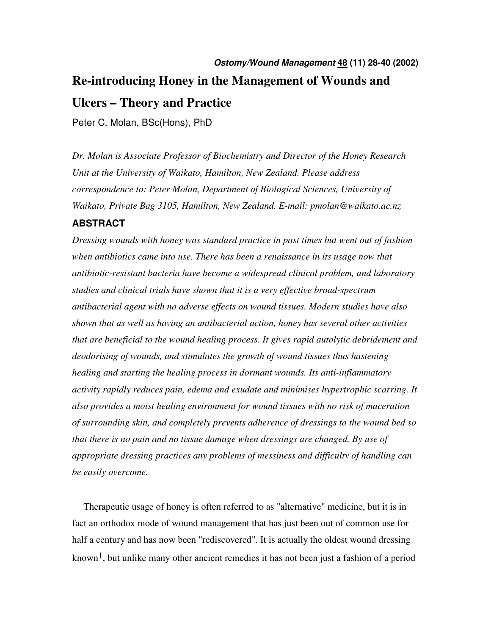# **Ostomy/Wound Management 48 (11) 28-40 (2002) Re-introducing Honey in the Management of Wounds and Ulcers – Theory and Practice**

Peter C. Molan, BSc(Hons), PhD

*Dr. Molan is Associate Professor of Biochemistry and Director of the Honey Research Unit at the University of Waikato, Hamilton, New Zealand. Please address correspondence to: Peter Molan, Department of Biological Sciences, University of Waikato, Private Bag 3105, Hamilton, New Zealand. E-mail: pmolan@waikato.ac.nz* 

### **ABSTRACT**

*Dressing wounds with honey was standard practice in past times but went out of fashion when antibiotics came into use. There has been a renaissance in its usage now that antibiotic-resistant bacteria have become a widespread clinical problem, and laboratory studies and clinical trials have shown that it is a very effective broad-spectrum antibacterial agent with no adverse effects on wound tissues. Modern studies have also shown that as well as having an antibacterial action, honey has several other activities that are beneficial to the wound healing process. It gives rapid autolytic debridement and deodorising of wounds, and stimulates the growth of wound tissues thus hastening healing and starting the healing process in dormant wounds. Its anti-inflammatory activity rapidly reduces pain, edema and exudate and minimises hypertrophic scarring. It also provides a moist healing environment for wound tissues with no risk of maceration of surrounding skin, and completely prevents adherence of dressings to the wound bed so that there is no pain and no tissue damage when dressings are changed. By use of appropriate dressing practices any problems of messiness and difficulty of handling can be easily overcome.* 

Therapeutic usage of honey is often referred to as "alternative" medicine, but it is in fact an orthodox mode of wound management that has just been out of common use for half a century and has now been "rediscovered". It is actually the oldest wound dressing known<sup>1</sup>, but unlike many other ancient remedies it has not been just a fashion of a period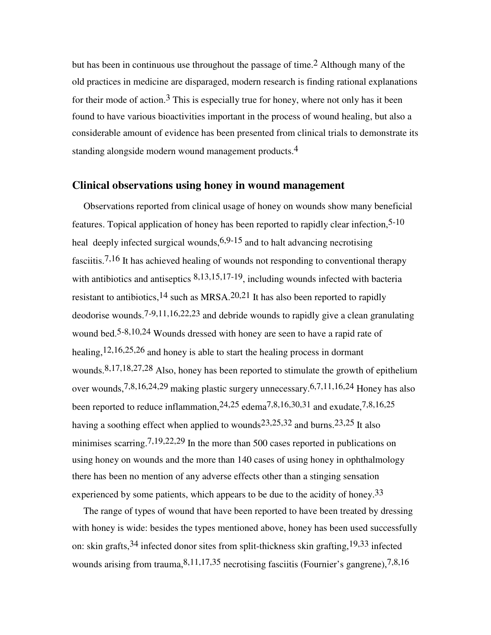but has been in continuous use throughout the passage of time.<sup>2</sup> Although many of the old practices in medicine are disparaged, modern research is finding rational explanations for their mode of action.<sup>3</sup> This is especially true for honey, where not only has it been found to have various bioactivities important in the process of wound healing, but also a considerable amount of evidence has been presented from clinical trials to demonstrate its standing alongside modern wound management products.<sup>4</sup>

#### **Clinical observations using honey in wound management**

Observations reported from clinical usage of honey on wounds show many beneficial features. Topical application of honey has been reported to rapidly clear infection,5-10 heal deeply infected surgical wounds,  $6.9-15$  and to halt advancing necrotising fasciitis.7,16 It has achieved healing of wounds not responding to conventional therapy with antibiotics and antiseptics 8,13,15,17-19, including wounds infected with bacteria resistant to antibiotics,  $14$  such as MRSA.  $20,21$  It has also been reported to rapidly deodorise wounds.7-9,11,16,22,23 and debride wounds to rapidly give a clean granulating wound bed.<sup>5-8,10,24</sup> Wounds dressed with honey are seen to have a rapid rate of healing,<sup>12,16,25,26</sup> and honey is able to start the healing process in dormant wounds.8,17,18,27,28 Also, honey has been reported to stimulate the growth of epithelium over wounds,7,8,16,24,29 making plastic surgery unnecessary.6,7,11,16,24 Honey has also been reported to reduce inflammation,24,25 edema7,8,16,30,31 and exudate,7,8,16,25 having a soothing effect when applied to wounds<sup>23,25,32</sup> and burns.<sup>23,25</sup> It also minimises scarring.7,19,22,29 In the more than 500 cases reported in publications on using honey on wounds and the more than 140 cases of using honey in ophthalmology there has been no mention of any adverse effects other than a stinging sensation experienced by some patients, which appears to be due to the acidity of honey.<sup>33</sup>

The range of types of wound that have been reported to have been treated by dressing with honey is wide: besides the types mentioned above, honey has been used successfully on: skin grafts,34 infected donor sites from split-thickness skin grafting,19,33 infected wounds arising from trauma,  $8,11,17,35$  necrotising fasciitis (Fournier's gangrene),  $7,8,16$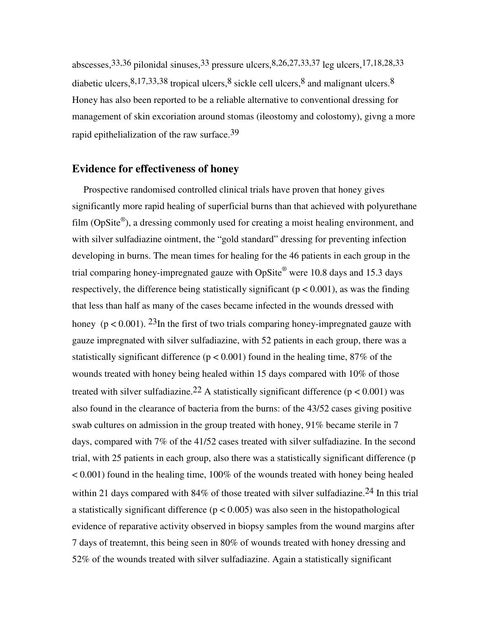abscesses,  $33,36$  pilonidal sinuses,  $33$  pressure ulcers,  $8,26,27,33,37$  leg ulcers,  $17,18,28,33$ diabetic ulcers,  $8,17,33,38$  tropical ulcers,  $8$  sickle cell ulcers,  $8$  and malignant ulcers.  $8$ Honey has also been reported to be a reliable alternative to conventional dressing for management of skin excoriation around stomas (ileostomy and colostomy), givng a more rapid epithelialization of the raw surface.<sup>39</sup>

#### **Evidence for effectiveness of honey**

Prospective randomised controlled clinical trials have proven that honey gives significantly more rapid healing of superficial burns than that achieved with polyurethane film (OpSite®), a dressing commonly used for creating a moist healing environment, and with silver sulfadiazine ointment, the "gold standard" dressing for preventing infection developing in burns. The mean times for healing for the 46 patients in each group in the trial comparing honey-impregnated gauze with OpSite® were 10.8 days and 15.3 days respectively, the difference being statistically significant ( $p < 0.001$ ), as was the finding that less than half as many of the cases became infected in the wounds dressed with honey ( $p < 0.001$ ). <sup>23</sup>In the first of two trials comparing honey-impregnated gauze with gauze impregnated with silver sulfadiazine, with 52 patients in each group, there was a statistically significant difference ( $p < 0.001$ ) found in the healing time, 87% of the wounds treated with honey being healed within 15 days compared with 10% of those treated with silver sulfadiazine.<sup>22</sup> A statistically significant difference ( $p < 0.001$ ) was also found in the clearance of bacteria from the burns: of the 43/52 cases giving positive swab cultures on admission in the group treated with honey, 91% became sterile in 7 days, compared with 7% of the 41/52 cases treated with silver sulfadiazine. In the second trial, with 25 patients in each group, also there was a statistically significant difference (p  $< 0.001$ ) found in the healing time, 100% of the wounds treated with honey being healed within 21 days compared with 84% of those treated with silver sulfadiazine.<sup>24</sup> In this trial a statistically significant difference ( $p < 0.005$ ) was also seen in the histopathological evidence of reparative activity observed in biopsy samples from the wound margins after 7 days of treatemnt, this being seen in 80% of wounds treated with honey dressing and 52% of the wounds treated with silver sulfadiazine. Again a statistically significant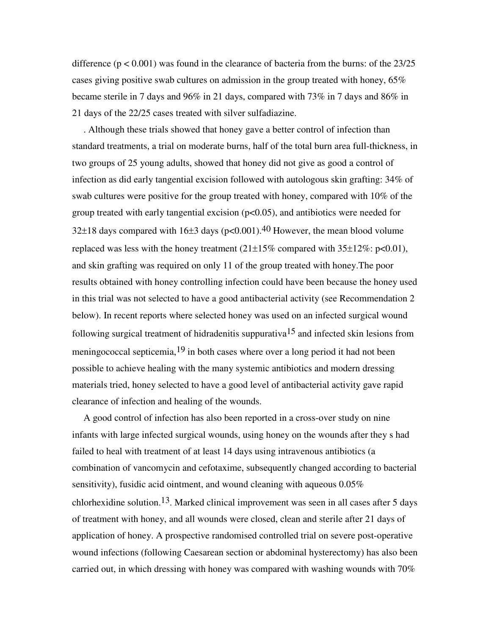difference ( $p < 0.001$ ) was found in the clearance of bacteria from the burns: of the 23/25 cases giving positive swab cultures on admission in the group treated with honey,  $65\%$ became sterile in 7 days and 96% in 21 days, compared with 73% in 7 days and 86% in 21 days of the 22/25 cases treated with silver sulfadiazine.

. Although these trials showed that honey gave a better control of infection than standard treatments, a trial on moderate burns, half of the total burn area full-thickness, in two groups of 25 young adults, showed that honey did not give as good a control of infection as did early tangential excision followed with autologous skin grafting: 34% of swab cultures were positive for the group treated with honey, compared with 10% of the group treated with early tangential excision  $(p<0.05)$ , and antibiotics were needed for 32 $\pm$ 18 days compared with 16 $\pm$ 3 days (p<0.001).<sup>40</sup> However, the mean blood volume replaced was less with the honey treatment  $(21\pm15\%$  compared with  $35\pm12\%$ : p<0.01), and skin grafting was required on only 11 of the group treated with honey.The poor results obtained with honey controlling infection could have been because the honey used in this trial was not selected to have a good antibacterial activity (see Recommendation 2 below). In recent reports where selected honey was used on an infected surgical wound following surgical treatment of hidradenitis suppurativa<sup>15</sup> and infected skin lesions from meningococcal septicemia,  $19$  in both cases where over a long period it had not been possible to achieve healing with the many systemic antibiotics and modern dressing materials tried, honey selected to have a good level of antibacterial activity gave rapid clearance of infection and healing of the wounds.

A good control of infection has also been reported in a cross-over study on nine infants with large infected surgical wounds, using honey on the wounds after they s had failed to heal with treatment of at least 14 days using intravenous antibiotics (a combination of vancomycin and cefotaxime, subsequently changed according to bacterial sensitivity), fusidic acid ointment, and wound cleaning with aqueous 0.05% chlorhexidine solution.13. Marked clinical improvement was seen in all cases after 5 days of treatment with honey, and all wounds were closed, clean and sterile after 21 days of application of honey. A prospective randomised controlled trial on severe post-operative wound infections (following Caesarean section or abdominal hysterectomy) has also been carried out, in which dressing with honey was compared with washing wounds with 70%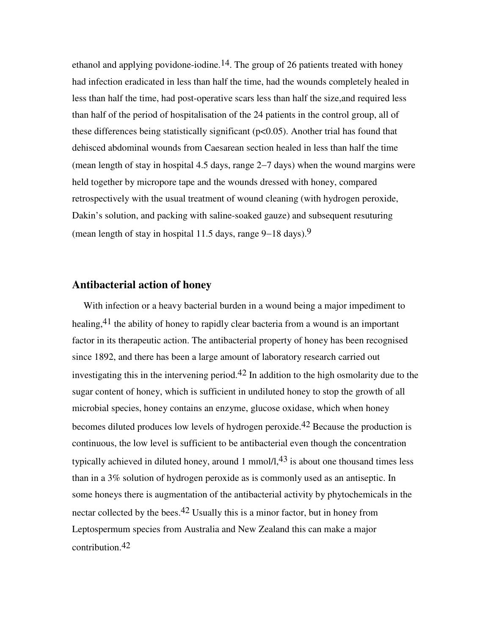ethanol and applying povidone-iodine.<sup>14</sup>. The group of 26 patients treated with honey had infection eradicated in less than half the time, had the wounds completely healed in less than half the time, had post-operative scars less than half the size,and required less than half of the period of hospitalisation of the 24 patients in the control group, all of these differences being statistically significant  $(p<0.05)$ . Another trial has found that dehisced abdominal wounds from Caesarean section healed in less than half the time (mean length of stay in hospital 4.5 days, range 2−7 days) when the wound margins were held together by micropore tape and the wounds dressed with honey, compared retrospectively with the usual treatment of wound cleaning (with hydrogen peroxide, Dakin's solution, and packing with saline-soaked gauze) and subsequent resuturing (mean length of stay in hospital 11.5 days, range 9−18 days).9

#### **Antibacterial action of honey**

With infection or a heavy bacterial burden in a wound being a major impediment to healing,  $41$  the ability of honey to rapidly clear bacteria from a wound is an important factor in its therapeutic action. The antibacterial property of honey has been recognised since 1892, and there has been a large amount of laboratory research carried out investigating this in the intervening period.<sup>42</sup> In addition to the high osmolarity due to the sugar content of honey, which is sufficient in undiluted honey to stop the growth of all microbial species, honey contains an enzyme, glucose oxidase, which when honey becomes diluted produces low levels of hydrogen peroxide.42 Because the production is continuous, the low level is sufficient to be antibacterial even though the concentration typically achieved in diluted honey, around 1 mmol/l, $43$  is about one thousand times less than in a 3% solution of hydrogen peroxide as is commonly used as an antiseptic. In some honeys there is augmentation of the antibacterial activity by phytochemicals in the nectar collected by the bees.<sup>42</sup> Usually this is a minor factor, but in honey from Leptospermum species from Australia and New Zealand this can make a major contribution.42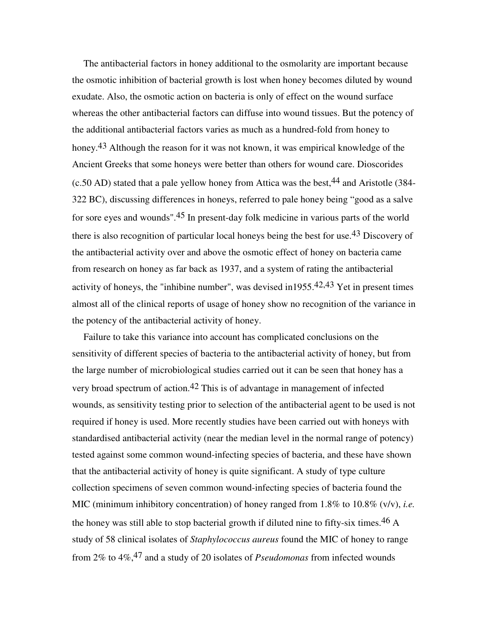The antibacterial factors in honey additional to the osmolarity are important because the osmotic inhibition of bacterial growth is lost when honey becomes diluted by wound exudate. Also, the osmotic action on bacteria is only of effect on the wound surface whereas the other antibacterial factors can diffuse into wound tissues. But the potency of the additional antibacterial factors varies as much as a hundred-fold from honey to honey.<sup>43</sup> Although the reason for it was not known, it was empirical knowledge of the Ancient Greeks that some honeys were better than others for wound care. Dioscorides  $(c.50 AD)$  stated that a pale yellow honey from Attica was the best, <sup>44</sup> and Aristotle (384-322 BC), discussing differences in honeys, referred to pale honey being "good as a salve for sore eyes and wounds".45 In present-day folk medicine in various parts of the world there is also recognition of particular local honeys being the best for use.43 Discovery of the antibacterial activity over and above the osmotic effect of honey on bacteria came from research on honey as far back as 1937, and a system of rating the antibacterial activity of honeys, the "inhibine number", was devised in 1955.<sup>42,43</sup> Yet in present times almost all of the clinical reports of usage of honey show no recognition of the variance in the potency of the antibacterial activity of honey.

Failure to take this variance into account has complicated conclusions on the sensitivity of different species of bacteria to the antibacterial activity of honey, but from the large number of microbiological studies carried out it can be seen that honey has a very broad spectrum of action.42 This is of advantage in management of infected wounds, as sensitivity testing prior to selection of the antibacterial agent to be used is not required if honey is used. More recently studies have been carried out with honeys with standardised antibacterial activity (near the median level in the normal range of potency) tested against some common wound-infecting species of bacteria, and these have shown that the antibacterial activity of honey is quite significant. A study of type culture collection specimens of seven common wound-infecting species of bacteria found the MIC (minimum inhibitory concentration) of honey ranged from 1.8% to 10.8% (v/v), *i.e.* the honey was still able to stop bacterial growth if diluted nine to fifty-six times.<sup>46</sup> A study of 58 clinical isolates of *Staphylococcus aureus* found the MIC of honey to range from 2% to 4%,47 and a study of 20 isolates of *Pseudomonas* from infected wounds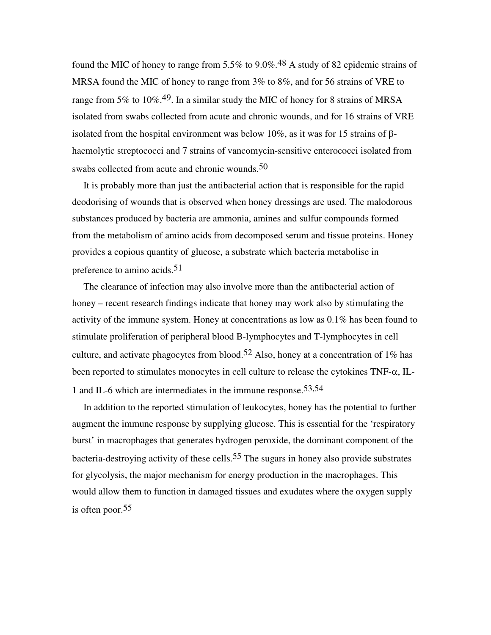found the MIC of honey to range from 5.5% to 9.0%.<sup>48</sup> A study of 82 epidemic strains of MRSA found the MIC of honey to range from 3% to 8%, and for 56 strains of VRE to range from 5% to 10%.<sup>49</sup>. In a similar study the MIC of honey for 8 strains of MRSA isolated from swabs collected from acute and chronic wounds, and for 16 strains of VRE isolated from the hospital environment was below 10%, as it was for 15 strains of βhaemolytic streptococci and 7 strains of vancomycin-sensitive enterococci isolated from swabs collected from acute and chronic wounds.<sup>50</sup>

It is probably more than just the antibacterial action that is responsible for the rapid deodorising of wounds that is observed when honey dressings are used. The malodorous substances produced by bacteria are ammonia, amines and sulfur compounds formed from the metabolism of amino acids from decomposed serum and tissue proteins. Honey provides a copious quantity of glucose, a substrate which bacteria metabolise in preference to amino acids.<sup>51</sup>

The clearance of infection may also involve more than the antibacterial action of honey – recent research findings indicate that honey may work also by stimulating the activity of the immune system. Honey at concentrations as low as 0.1% has been found to stimulate proliferation of peripheral blood B-lymphocytes and T-lymphocytes in cell culture, and activate phagocytes from blood.<sup>52</sup> Also, honey at a concentration of 1% has been reported to stimulates monocytes in cell culture to release the cytokines TNF-α, IL-1 and IL-6 which are intermediates in the immune response.53,54

In addition to the reported stimulation of leukocytes, honey has the potential to further augment the immune response by supplying glucose. This is essential for the 'respiratory burst' in macrophages that generates hydrogen peroxide, the dominant component of the bacteria-destroying activity of these cells.<sup>55</sup> The sugars in honey also provide substrates for glycolysis, the major mechanism for energy production in the macrophages. This would allow them to function in damaged tissues and exudates where the oxygen supply is often poor.55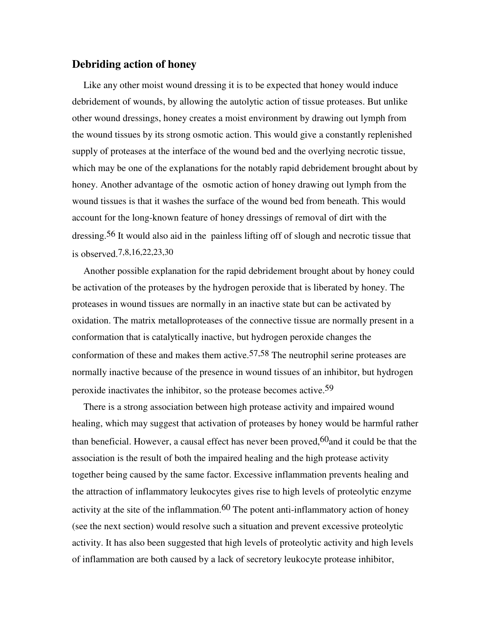#### **Debriding action of honey**

Like any other moist wound dressing it is to be expected that honey would induce debridement of wounds, by allowing the autolytic action of tissue proteases. But unlike other wound dressings, honey creates a moist environment by drawing out lymph from the wound tissues by its strong osmotic action. This would give a constantly replenished supply of proteases at the interface of the wound bed and the overlying necrotic tissue, which may be one of the explanations for the notably rapid debridement brought about by honey. Another advantage of the osmotic action of honey drawing out lymph from the wound tissues is that it washes the surface of the wound bed from beneath. This would account for the long-known feature of honey dressings of removal of dirt with the dressing.56 It would also aid in the painless lifting off of slough and necrotic tissue that is observed.7,8,16,22,23,30

Another possible explanation for the rapid debridement brought about by honey could be activation of the proteases by the hydrogen peroxide that is liberated by honey. The proteases in wound tissues are normally in an inactive state but can be activated by oxidation. The matrix metalloproteases of the connective tissue are normally present in a conformation that is catalytically inactive, but hydrogen peroxide changes the conformation of these and makes them active.<sup>57,58</sup> The neutrophil serine proteases are normally inactive because of the presence in wound tissues of an inhibitor, but hydrogen peroxide inactivates the inhibitor, so the protease becomes active.<sup>59</sup>

There is a strong association between high protease activity and impaired wound healing, which may suggest that activation of proteases by honey would be harmful rather than beneficial. However, a causal effect has never been proved,  $60$  and it could be that the association is the result of both the impaired healing and the high protease activity together being caused by the same factor. Excessive inflammation prevents healing and the attraction of inflammatory leukocytes gives rise to high levels of proteolytic enzyme activity at the site of the inflammation.<sup>60</sup> The potent anti-inflammatory action of honey (see the next section) would resolve such a situation and prevent excessive proteolytic activity. It has also been suggested that high levels of proteolytic activity and high levels of inflammation are both caused by a lack of secretory leukocyte protease inhibitor,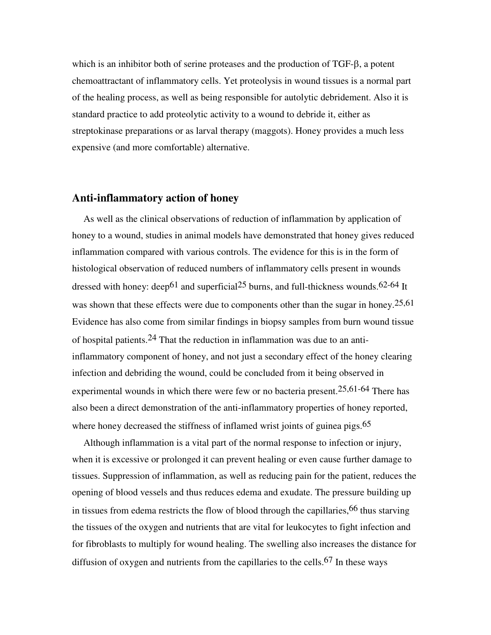which is an inhibitor both of serine proteases and the production of TGF-β, a potent chemoattractant of inflammatory cells. Yet proteolysis in wound tissues is a normal part of the healing process, as well as being responsible for autolytic debridement. Also it is standard practice to add proteolytic activity to a wound to debride it, either as streptokinase preparations or as larval therapy (maggots). Honey provides a much less expensive (and more comfortable) alternative.

### **Anti-inflammatory action of honey**

As well as the clinical observations of reduction of inflammation by application of honey to a wound, studies in animal models have demonstrated that honey gives reduced inflammation compared with various controls. The evidence for this is in the form of histological observation of reduced numbers of inflammatory cells present in wounds dressed with honey: deep<sup>61</sup> and superficial<sup>25</sup> burns, and full-thickness wounds.<sup>62-64</sup> It was shown that these effects were due to components other than the sugar in honey.<sup>25,61</sup> Evidence has also come from similar findings in biopsy samples from burn wound tissue of hospital patients.24 That the reduction in inflammation was due to an antiinflammatory component of honey, and not just a secondary effect of the honey clearing infection and debriding the wound, could be concluded from it being observed in experimental wounds in which there were few or no bacteria present.25,61-64 There has also been a direct demonstration of the anti-inflammatory properties of honey reported, where honey decreased the stiffness of inflamed wrist joints of guinea pigs.<sup>65</sup>

Although inflammation is a vital part of the normal response to infection or injury, when it is excessive or prolonged it can prevent healing or even cause further damage to tissues. Suppression of inflammation, as well as reducing pain for the patient, reduces the opening of blood vessels and thus reduces edema and exudate. The pressure building up in tissues from edema restricts the flow of blood through the capillaries, <sup>66</sup> thus starving the tissues of the oxygen and nutrients that are vital for leukocytes to fight infection and for fibroblasts to multiply for wound healing. The swelling also increases the distance for diffusion of oxygen and nutrients from the capillaries to the cells.<sup>67</sup> In these ways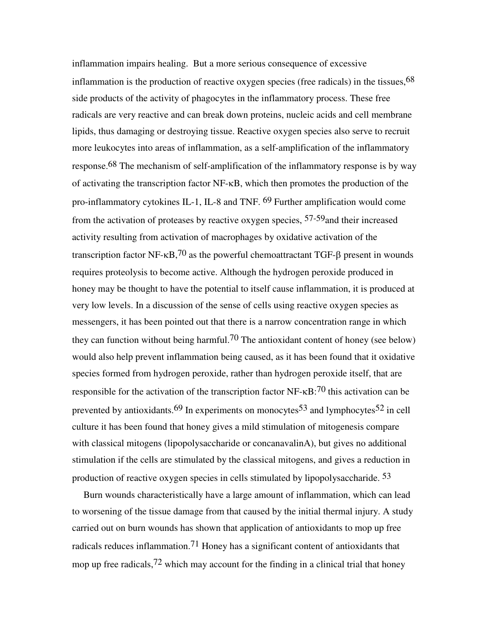inflammation impairs healing. But a more serious consequence of excessive inflammation is the production of reactive oxygen species (free radicals) in the tissues,  $68$ side products of the activity of phagocytes in the inflammatory process. These free radicals are very reactive and can break down proteins, nucleic acids and cell membrane lipids, thus damaging or destroying tissue. Reactive oxygen species also serve to recruit more leukocytes into areas of inflammation, as a self-amplification of the inflammatory response.68 The mechanism of self-amplification of the inflammatory response is by way of activating the transcription factor NF-κB, which then promotes the production of the pro-inflammatory cytokines IL-1, IL-8 and TNF. 69 Further amplification would come from the activation of proteases by reactive oxygen species,  $57-59$  and their increased activity resulting from activation of macrophages by oxidative activation of the transcription factor NF- $κB$ ,  $70$  as the powerful chemoattractant TGF- $β$  present in wounds requires proteolysis to become active. Although the hydrogen peroxide produced in honey may be thought to have the potential to itself cause inflammation, it is produced at very low levels. In a discussion of the sense of cells using reactive oxygen species as messengers, it has been pointed out that there is a narrow concentration range in which they can function without being harmful.<sup>70</sup> The antioxidant content of honey (see below) would also help prevent inflammation being caused, as it has been found that it oxidative species formed from hydrogen peroxide, rather than hydrogen peroxide itself, that are responsible for the activation of the transcription factor NF- $\kappa$ B:<sup>70</sup> this activation can be prevented by antioxidants.<sup>69</sup> In experiments on monocytes<sup>53</sup> and lymphocytes<sup>52</sup> in cell culture it has been found that honey gives a mild stimulation of mitogenesis compare with classical mitogens (lipopolysaccharide or concanavalinA), but gives no additional stimulation if the cells are stimulated by the classical mitogens, and gives a reduction in production of reactive oxygen species in cells stimulated by lipopolysaccharide.  $53$ 

Burn wounds characteristically have a large amount of inflammation, which can lead to worsening of the tissue damage from that caused by the initial thermal injury. A study carried out on burn wounds has shown that application of antioxidants to mop up free radicals reduces inflammation.71 Honey has a significant content of antioxidants that mop up free radicals,  $72$  which may account for the finding in a clinical trial that honey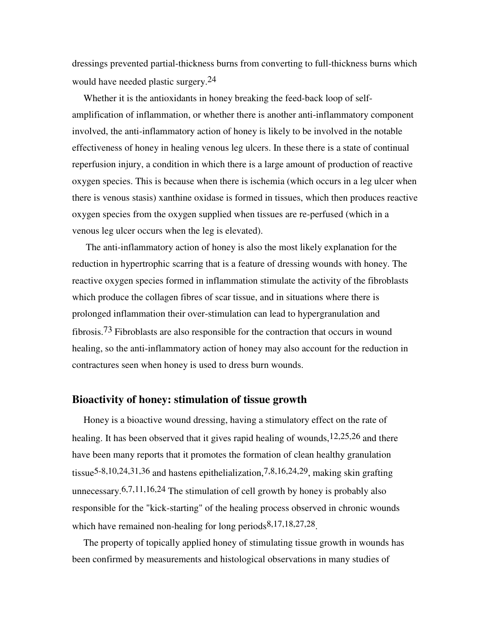dressings prevented partial-thickness burns from converting to full-thickness burns which would have needed plastic surgery.24

Whether it is the antioxidants in honey breaking the feed-back loop of selfamplification of inflammation, or whether there is another anti-inflammatory component involved, the anti-inflammatory action of honey is likely to be involved in the notable effectiveness of honey in healing venous leg ulcers. In these there is a state of continual reperfusion injury, a condition in which there is a large amount of production of reactive oxygen species. This is because when there is ischemia (which occurs in a leg ulcer when there is venous stasis) xanthine oxidase is formed in tissues, which then produces reactive oxygen species from the oxygen supplied when tissues are re-perfused (which in a venous leg ulcer occurs when the leg is elevated).

 The anti-inflammatory action of honey is also the most likely explanation for the reduction in hypertrophic scarring that is a feature of dressing wounds with honey. The reactive oxygen species formed in inflammation stimulate the activity of the fibroblasts which produce the collagen fibres of scar tissue, and in situations where there is prolonged inflammation their over-stimulation can lead to hypergranulation and fibrosis.73 Fibroblasts are also responsible for the contraction that occurs in wound healing, so the anti-inflammatory action of honey may also account for the reduction in contractures seen when honey is used to dress burn wounds.

#### **Bioactivity of honey: stimulation of tissue growth**

Honey is a bioactive wound dressing, having a stimulatory effect on the rate of healing. It has been observed that it gives rapid healing of wounds,<sup>12,25,26</sup> and there have been many reports that it promotes the formation of clean healthy granulation tissue<sup>5-8,10,24,31,36</sup> and hastens epithelialization,<sup>7,8,16,24,29</sup>, making skin grafting unnecessary.  $6,7,11,16,24$  The stimulation of cell growth by honey is probably also responsible for the "kick-starting" of the healing process observed in chronic wounds which have remained non-healing for long periods  $8,17,18,27,28$ .

The property of topically applied honey of stimulating tissue growth in wounds has been confirmed by measurements and histological observations in many studies of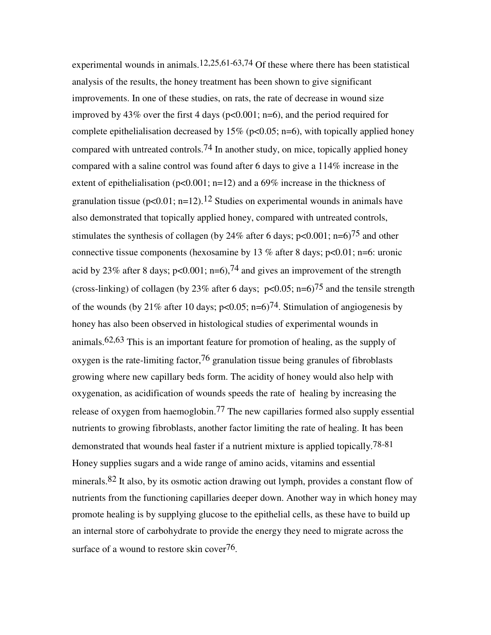experimental wounds in animals,  $12,25,61-63,74$  Of these where there has been statistical analysis of the results, the honey treatment has been shown to give significant improvements. In one of these studies, on rats, the rate of decrease in wound size improved by 43% over the first 4 days ( $p<0.001$ ;  $n=6$ ), and the period required for complete epithelialisation decreased by  $15\%$  (p<0.05; n=6), with topically applied honey compared with untreated controls.<sup>74</sup> In another study, on mice, topically applied honey compared with a saline control was found after 6 days to give a 114% increase in the extent of epithelialisation ( $p<0.001$ ; n=12) and a 69% increase in the thickness of granulation tissue ( $p<0.01$ ; n=12).<sup>12</sup> Studies on experimental wounds in animals have also demonstrated that topically applied honey, compared with untreated controls, stimulates the synthesis of collagen (by 24% after 6 days;  $p<0.001$ ;  $n=6$ )<sup>75</sup> and other connective tissue components (hexosamine by 13 % after 8 days;  $p<0.01$ ; n=6: uronic acid by 23% after 8 days;  $p<0.001$ ;  $n=6$ ), <sup>74</sup> and gives an improvement of the strength (cross-linking) of collagen (by 23% after 6 days;  $p<0.05$ ; n=6)<sup>75</sup> and the tensile strength of the wounds (by 21% after 10 days;  $p<0.05$ ;  $n=6$ )<sup>74</sup>. Stimulation of angiogenesis by honey has also been observed in histological studies of experimental wounds in animals.62,63 This is an important feature for promotion of healing, as the supply of oxygen is the rate-limiting factor,  $76$  granulation tissue being granules of fibroblasts growing where new capillary beds form. The acidity of honey would also help with oxygenation, as acidification of wounds speeds the rate of healing by increasing the release of oxygen from haemoglobin.77 The new capillaries formed also supply essential nutrients to growing fibroblasts, another factor limiting the rate of healing. It has been demonstrated that wounds heal faster if a nutrient mixture is applied topically. 78-81 Honey supplies sugars and a wide range of amino acids, vitamins and essential minerals.82 It also, by its osmotic action drawing out lymph, provides a constant flow of nutrients from the functioning capillaries deeper down. Another way in which honey may promote healing is by supplying glucose to the epithelial cells, as these have to build up an internal store of carbohydrate to provide the energy they need to migrate across the surface of a wound to restore skin cover<sup>76</sup>.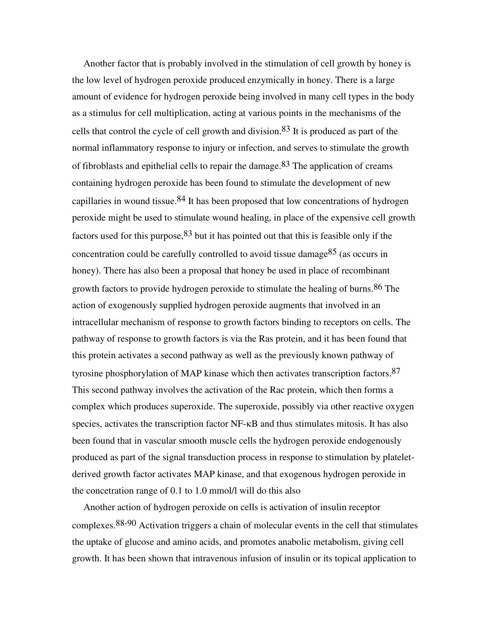Another factor that is probably involved in the stimulation of cell growth by honey is the low level of hydrogen peroxide produced enzymically in honey. There is a large amount of evidence for hydrogen peroxide being involved in many cell types in the body as a stimulus for cell multiplication, acting at various points in the mechanisms of the cells that control the cycle of cell growth and division.<sup>83</sup> It is produced as part of the normal inflammatory response to injury or infection, and serves to stimulate the growth of fibroblasts and epithelial cells to repair the damage.83 The application of creams containing hydrogen peroxide has been found to stimulate the development of new capillaries in wound tissue.  $84$  It has been proposed that low concentrations of hydrogen peroxide might be used to stimulate wound healing, in place of the expensive cell growth factors used for this purpose,  $83$  but it has pointed out that this is feasible only if the concentration could be carefully controlled to avoid tissue damage<sup>85</sup> (as occurs in honey). There has also been a proposal that honey be used in place of recombinant growth factors to provide hydrogen peroxide to stimulate the healing of burns.<sup>86</sup> The action of exogenously supplied hydrogen peroxide augments that involved in an intracellular mechanism of response to growth factors binding to receptors on cells. The pathway of response to growth factors is via the Ras protein, and it has been found that this protein activates a second pathway as well as the previously known pathway of tyrosine phosphorylation of MAP kinase which then activates transcription factors.87 This second pathway involves the activation of the Rac protein, which then forms a complex which produces superoxide. The superoxide, possibly via other reactive oxygen species, activates the transcription factor NF-κB and thus stimulates mitosis. It has also been found that in vascular smooth muscle cells the hydrogen peroxide endogenously produced as part of the signal transduction process in response to stimulation by plateletderived growth factor activates MAP kinase, and that exogenous hydrogen peroxide in the concetration range of 0.1 to 1.0 mmol/l will do this also

Another action of hydrogen peroxide on cells is activation of insulin receptor complexes.88-90 Activation triggers a chain of molecular events in the cell that stimulates the uptake of glucose and amino acids, and promotes anabolic metabolism, giving cell growth. It has been shown that intravenous infusion of insulin or its topical application to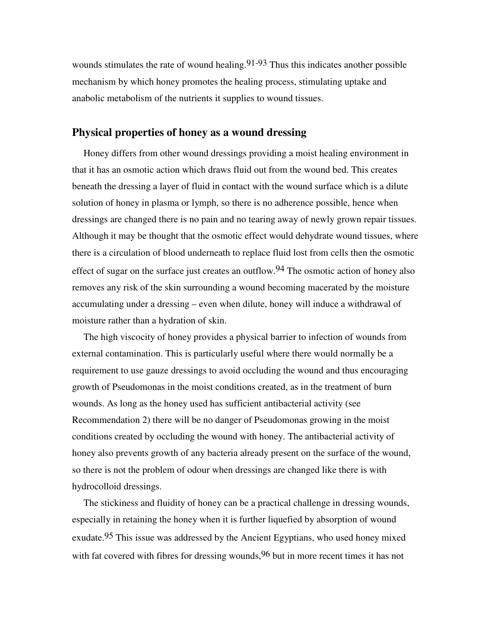wounds stimulates the rate of wound healing.  $91-93$  Thus this indicates another possible mechanism by which honey promotes the healing process, stimulating uptake and anabolic metabolism of the nutrients it supplies to wound tissues.

#### **Physical properties of honey as a wound dressing**

Honey differs from other wound dressings providing a moist healing environment in that it has an osmotic action which draws fluid out from the wound bed. This creates beneath the dressing a layer of fluid in contact with the wound surface which is a dilute solution of honey in plasma or lymph, so there is no adherence possible, hence when dressings are changed there is no pain and no tearing away of newly grown repair tissues. Although it may be thought that the osmotic effect would dehydrate wound tissues, where there is a circulation of blood underneath to replace fluid lost from cells then the osmotic effect of sugar on the surface just creates an outflow.<sup>94</sup> The osmotic action of honey also removes any risk of the skin surrounding a wound becoming macerated by the moisture accumulating under a dressing – even when dilute, honey will induce a withdrawal of moisture rather than a hydration of skin.

The high viscocity of honey provides a physical barrier to infection of wounds from external contamination. This is particularly useful where there would normally be a requirement to use gauze dressings to avoid occluding the wound and thus encouraging growth of Pseudomonas in the moist conditions created, as in the treatment of burn wounds. As long as the honey used has sufficient antibacterial activity (see Recommendation 2) there will be no danger of Pseudomonas growing in the moist conditions created by occluding the wound with honey. The antibacterial activity of honey also prevents growth of any bacteria already present on the surface of the wound, so there is not the problem of odour when dressings are changed like there is with hydrocolloid dressings.

The stickiness and fluidity of honey can be a practical challenge in dressing wounds, especially in retaining the honey when it is further liquefied by absorption of wound exudate.95 This issue was addressed by the Ancient Egyptians, who used honey mixed with fat covered with fibres for dressing wounds,  $96$  but in more recent times it has not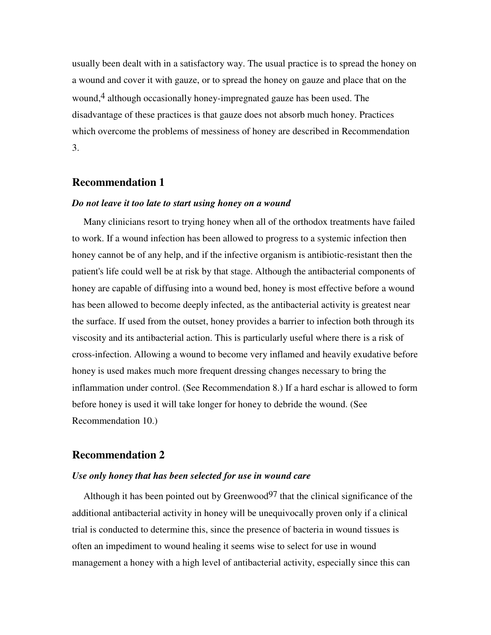usually been dealt with in a satisfactory way. The usual practice is to spread the honey on a wound and cover it with gauze, or to spread the honey on gauze and place that on the wound,<sup>4</sup> although occasionally honey-impregnated gauze has been used. The disadvantage of these practices is that gauze does not absorb much honey. Practices which overcome the problems of messiness of honey are described in Recommendation 3.

#### **Recommendation 1**

#### *Do not leave it too late to start using honey on a wound*

Many clinicians resort to trying honey when all of the orthodox treatments have failed to work. If a wound infection has been allowed to progress to a systemic infection then honey cannot be of any help, and if the infective organism is antibiotic-resistant then the patient's life could well be at risk by that stage. Although the antibacterial components of honey are capable of diffusing into a wound bed, honey is most effective before a wound has been allowed to become deeply infected, as the antibacterial activity is greatest near the surface. If used from the outset, honey provides a barrier to infection both through its viscosity and its antibacterial action. This is particularly useful where there is a risk of cross-infection. Allowing a wound to become very inflamed and heavily exudative before honey is used makes much more frequent dressing changes necessary to bring the inflammation under control. (See Recommendation 8.) If a hard eschar is allowed to form before honey is used it will take longer for honey to debride the wound. (See Recommendation 10.)

#### **Recommendation 2**

#### *Use only honey that has been selected for use in wound care*

Although it has been pointed out by Greenwood<sup>97</sup> that the clinical significance of the additional antibacterial activity in honey will be unequivocally proven only if a clinical trial is conducted to determine this, since the presence of bacteria in wound tissues is often an impediment to wound healing it seems wise to select for use in wound management a honey with a high level of antibacterial activity, especially since this can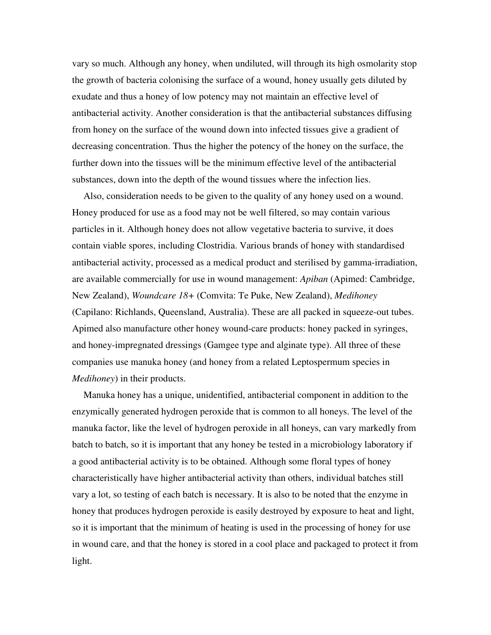vary so much. Although any honey, when undiluted, will through its high osmolarity stop the growth of bacteria colonising the surface of a wound, honey usually gets diluted by exudate and thus a honey of low potency may not maintain an effective level of antibacterial activity. Another consideration is that the antibacterial substances diffusing from honey on the surface of the wound down into infected tissues give a gradient of decreasing concentration. Thus the higher the potency of the honey on the surface, the further down into the tissues will be the minimum effective level of the antibacterial substances, down into the depth of the wound tissues where the infection lies.

Also, consideration needs to be given to the quality of any honey used on a wound. Honey produced for use as a food may not be well filtered, so may contain various particles in it. Although honey does not allow vegetative bacteria to survive, it does contain viable spores, including Clostridia. Various brands of honey with standardised antibacterial activity, processed as a medical product and sterilised by gamma-irradiation, are available commercially for use in wound management: *Apiban* (Apimed: Cambridge, New Zealand), *Woundcare 18+* (Comvita: Te Puke, New Zealand), *Medihoney* (Capilano: Richlands, Queensland, Australia). These are all packed in squeeze-out tubes. Apimed also manufacture other honey wound-care products: honey packed in syringes, and honey-impregnated dressings (Gamgee type and alginate type). All three of these companies use manuka honey (and honey from a related Leptospermum species in *Medihoney*) in their products.

Manuka honey has a unique, unidentified, antibacterial component in addition to the enzymically generated hydrogen peroxide that is common to all honeys. The level of the manuka factor, like the level of hydrogen peroxide in all honeys, can vary markedly from batch to batch, so it is important that any honey be tested in a microbiology laboratory if a good antibacterial activity is to be obtained. Although some floral types of honey characteristically have higher antibacterial activity than others, individual batches still vary a lot, so testing of each batch is necessary. It is also to be noted that the enzyme in honey that produces hydrogen peroxide is easily destroyed by exposure to heat and light, so it is important that the minimum of heating is used in the processing of honey for use in wound care, and that the honey is stored in a cool place and packaged to protect it from light.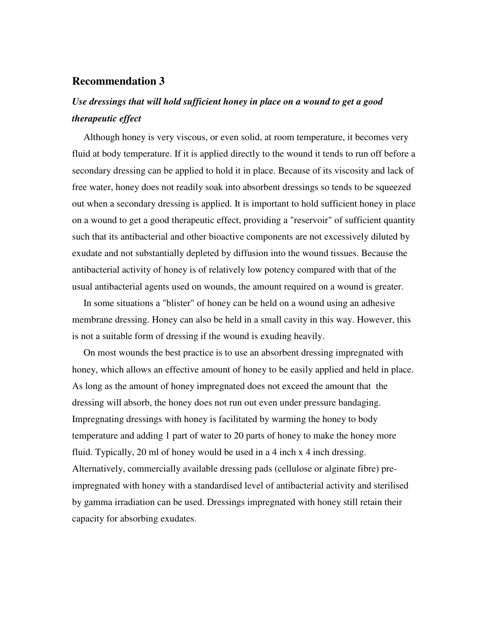#### **Recommendation 3**

## *Use dressings that will hold sufficient honey in place on a wound to get a good therapeutic effect*

Although honey is very viscous, or even solid, at room temperature, it becomes very fluid at body temperature. If it is applied directly to the wound it tends to run off before a secondary dressing can be applied to hold it in place. Because of its viscosity and lack of free water, honey does not readily soak into absorbent dressings so tends to be squeezed out when a secondary dressing is applied. It is important to hold sufficient honey in place on a wound to get a good therapeutic effect, providing a "reservoir" of sufficient quantity such that its antibacterial and other bioactive components are not excessively diluted by exudate and not substantially depleted by diffusion into the wound tissues. Because the antibacterial activity of honey is of relatively low potency compared with that of the usual antibacterial agents used on wounds, the amount required on a wound is greater.

In some situations a "blister" of honey can be held on a wound using an adhesive membrane dressing. Honey can also be held in a small cavity in this way. However, this is not a suitable form of dressing if the wound is exuding heavily.

On most wounds the best practice is to use an absorbent dressing impregnated with honey, which allows an effective amount of honey to be easily applied and held in place. As long as the amount of honey impregnated does not exceed the amount that the dressing will absorb, the honey does not run out even under pressure bandaging. Impregnating dressings with honey is facilitated by warming the honey to body temperature and adding 1 part of water to 20 parts of honey to make the honey more fluid. Typically, 20 ml of honey would be used in a 4 inch x 4 inch dressing. Alternatively, commercially available dressing pads (cellulose or alginate fibre) preimpregnated with honey with a standardised level of antibacterial activity and sterilised by gamma irradiation can be used. Dressings impregnated with honey still retain their capacity for absorbing exudates.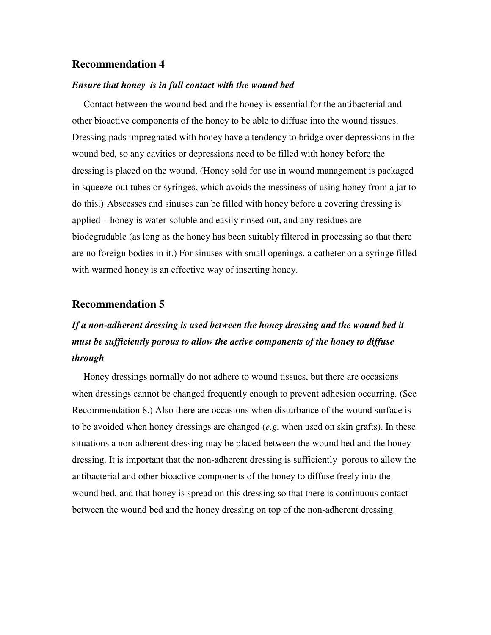#### **Recommendation 4**

#### *Ensure that honey is in full contact with the wound bed*

Contact between the wound bed and the honey is essential for the antibacterial and other bioactive components of the honey to be able to diffuse into the wound tissues. Dressing pads impregnated with honey have a tendency to bridge over depressions in the wound bed, so any cavities or depressions need to be filled with honey before the dressing is placed on the wound. (Honey sold for use in wound management is packaged in squeeze-out tubes or syringes, which avoids the messiness of using honey from a jar to do this.) Abscesses and sinuses can be filled with honey before a covering dressing is applied – honey is water-soluble and easily rinsed out, and any residues are biodegradable (as long as the honey has been suitably filtered in processing so that there are no foreign bodies in it.) For sinuses with small openings, a catheter on a syringe filled with warmed honey is an effective way of inserting honey.

#### **Recommendation 5**

## *If a non-adherent dressing is used between the honey dressing and the wound bed it must be sufficiently porous to allow the active components of the honey to diffuse through*

Honey dressings normally do not adhere to wound tissues, but there are occasions when dressings cannot be changed frequently enough to prevent adhesion occurring. (See Recommendation 8.) Also there are occasions when disturbance of the wound surface is to be avoided when honey dressings are changed (*e.g.* when used on skin grafts). In these situations a non-adherent dressing may be placed between the wound bed and the honey dressing. It is important that the non-adherent dressing is sufficiently porous to allow the antibacterial and other bioactive components of the honey to diffuse freely into the wound bed, and that honey is spread on this dressing so that there is continuous contact between the wound bed and the honey dressing on top of the non-adherent dressing.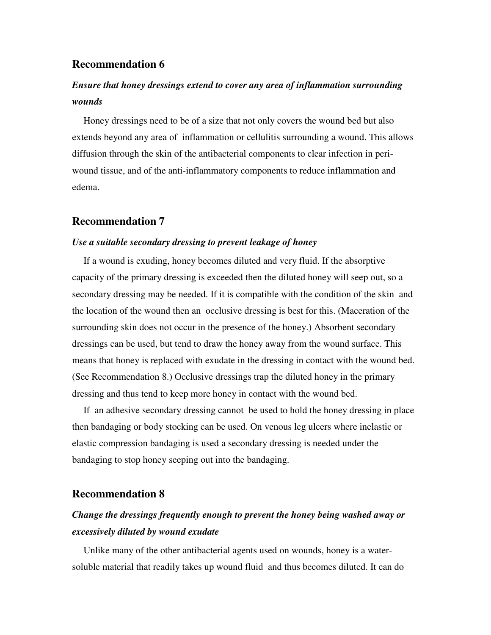#### **Recommendation 6**

## *Ensure that honey dressings extend to cover any area of inflammation surrounding wounds*

Honey dressings need to be of a size that not only covers the wound bed but also extends beyond any area of inflammation or cellulitis surrounding a wound. This allows diffusion through the skin of the antibacterial components to clear infection in periwound tissue, and of the anti-inflammatory components to reduce inflammation and edema.

#### **Recommendation 7**

#### *Use a suitable secondary dressing to prevent leakage of honey*

If a wound is exuding, honey becomes diluted and very fluid. If the absorptive capacity of the primary dressing is exceeded then the diluted honey will seep out, so a secondary dressing may be needed. If it is compatible with the condition of the skin and the location of the wound then an occlusive dressing is best for this. (Maceration of the surrounding skin does not occur in the presence of the honey.) Absorbent secondary dressings can be used, but tend to draw the honey away from the wound surface. This means that honey is replaced with exudate in the dressing in contact with the wound bed. (See Recommendation 8.) Occlusive dressings trap the diluted honey in the primary dressing and thus tend to keep more honey in contact with the wound bed.

If an adhesive secondary dressing cannot be used to hold the honey dressing in place then bandaging or body stocking can be used. On venous leg ulcers where inelastic or elastic compression bandaging is used a secondary dressing is needed under the bandaging to stop honey seeping out into the bandaging.

#### **Recommendation 8**

## *Change the dressings frequently enough to prevent the honey being washed away or excessively diluted by wound exudate*

Unlike many of the other antibacterial agents used on wounds, honey is a watersoluble material that readily takes up wound fluid and thus becomes diluted. It can do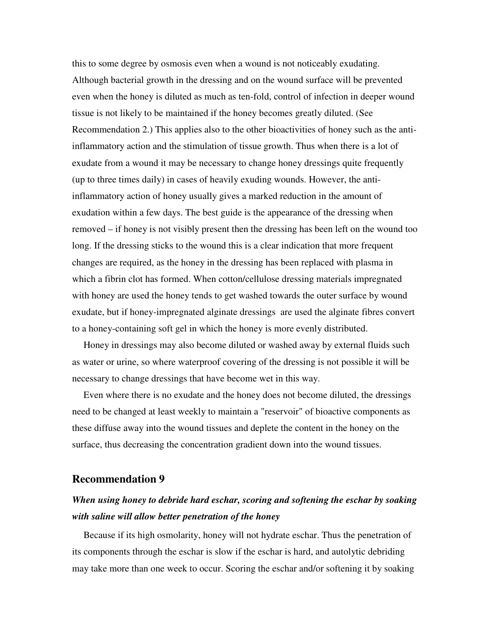this to some degree by osmosis even when a wound is not noticeably exudating. Although bacterial growth in the dressing and on the wound surface will be prevented even when the honey is diluted as much as ten-fold, control of infection in deeper wound tissue is not likely to be maintained if the honey becomes greatly diluted. (See Recommendation 2.) This applies also to the other bioactivities of honey such as the antiinflammatory action and the stimulation of tissue growth. Thus when there is a lot of exudate from a wound it may be necessary to change honey dressings quite frequently (up to three times daily) in cases of heavily exuding wounds. However, the antiinflammatory action of honey usually gives a marked reduction in the amount of exudation within a few days. The best guide is the appearance of the dressing when removed – if honey is not visibly present then the dressing has been left on the wound too long. If the dressing sticks to the wound this is a clear indication that more frequent changes are required, as the honey in the dressing has been replaced with plasma in which a fibrin clot has formed. When cotton/cellulose dressing materials impregnated with honey are used the honey tends to get washed towards the outer surface by wound exudate, but if honey-impregnated alginate dressings are used the alginate fibres convert to a honey-containing soft gel in which the honey is more evenly distributed.

Honey in dressings may also become diluted or washed away by external fluids such as water or urine, so where waterproof covering of the dressing is not possible it will be necessary to change dressings that have become wet in this way.

Even where there is no exudate and the honey does not become diluted, the dressings need to be changed at least weekly to maintain a "reservoir" of bioactive components as these diffuse away into the wound tissues and deplete the content in the honey on the surface, thus decreasing the concentration gradient down into the wound tissues.

#### **Recommendation 9**

## *When using honey to debride hard eschar, scoring and softening the eschar by soaking with saline will allow better penetration of the honey*

Because if its high osmolarity, honey will not hydrate eschar. Thus the penetration of its components through the eschar is slow if the eschar is hard, and autolytic debriding may take more than one week to occur. Scoring the eschar and/or softening it by soaking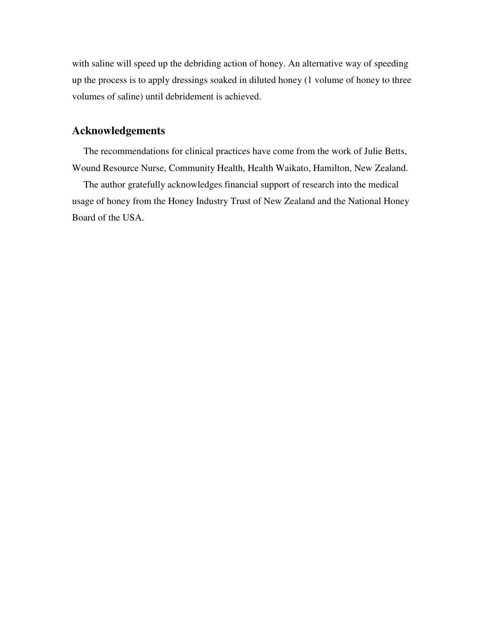with saline will speed up the debriding action of honey. An alternative way of speeding up the process is to apply dressings soaked in diluted honey (1 volume of honey to three volumes of saline) until debridement is achieved.

### **Acknowledgements**

The recommendations for clinical practices have come from the work of Julie Betts, Wound Resource Nurse, Community Health, Health Waikato, Hamilton, New Zealand.

The author gratefully acknowledges financial support of research into the medical usage of honey from the Honey Industry Trust of New Zealand and the National Honey Board of the USA.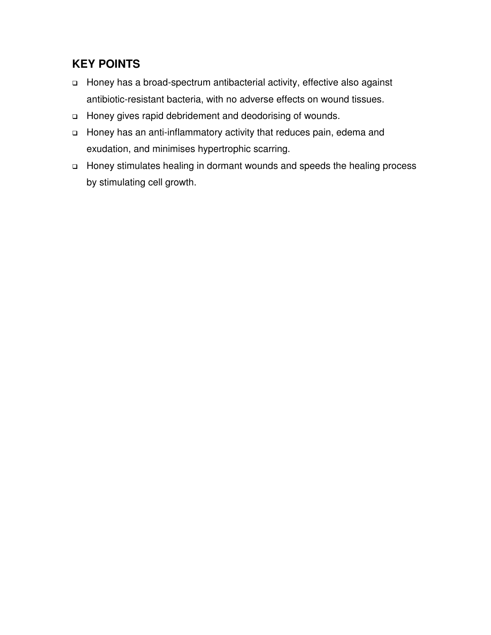## **KEY POINTS**

- Honey has a broad-spectrum antibacterial activity, effective also against antibiotic-resistant bacteria, with no adverse effects on wound tissues.
- Honey gives rapid debridement and deodorising of wounds.
- Honey has an anti-inflammatory activity that reduces pain, edema and exudation, and minimises hypertrophic scarring.
- Honey stimulates healing in dormant wounds and speeds the healing process by stimulating cell growth.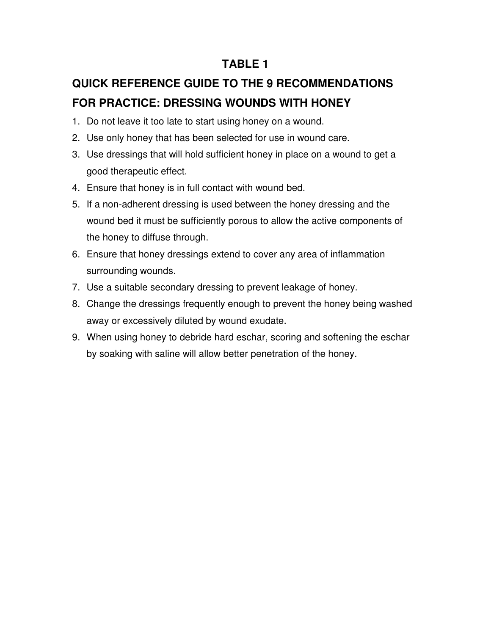## **TABLE 1**

# **QUICK REFERENCE GUIDE TO THE 9 RECOMMENDATIONS FOR PRACTICE: DRESSING WOUNDS WITH HONEY**

- 1. Do not leave it too late to start using honey on a wound.
- 2. Use only honey that has been selected for use in wound care.
- 3. Use dressings that will hold sufficient honey in place on a wound to get a good therapeutic effect.
- 4. Ensure that honey is in full contact with wound bed.
- 5. If a non-adherent dressing is used between the honey dressing and the wound bed it must be sufficiently porous to allow the active components of the honey to diffuse through.
- 6. Ensure that honey dressings extend to cover any area of inflammation surrounding wounds.
- 7. Use a suitable secondary dressing to prevent leakage of honey.
- 8. Change the dressings frequently enough to prevent the honey being washed away or excessively diluted by wound exudate.
- 9. When using honey to debride hard eschar, scoring and softening the eschar by soaking with saline will allow better penetration of the honey.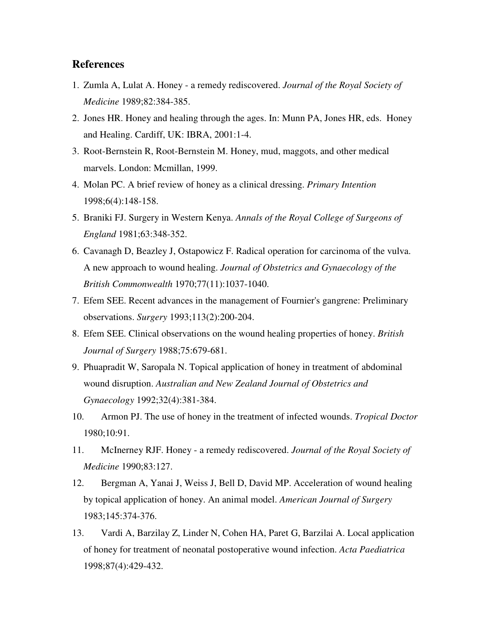#### **References**

- 1. Zumla A, Lulat A. Honey a remedy rediscovered. *Journal of the Royal Society of Medicine* 1989;82:384-385.
- 2. Jones HR. Honey and healing through the ages. In: Munn PA, Jones HR, eds. Honey and Healing. Cardiff, UK: IBRA, 2001:1-4.
- 3. Root-Bernstein R, Root-Bernstein M. Honey, mud, maggots, and other medical marvels. London: Mcmillan, 1999.
- 4. Molan PC. A brief review of honey as a clinical dressing. *Primary Intention* 1998;6(4):148-158.
- 5. Braniki FJ. Surgery in Western Kenya. *Annals of the Royal College of Surgeons of England* 1981;63:348-352.
- 6. Cavanagh D, Beazley J, Ostapowicz F. Radical operation for carcinoma of the vulva. A new approach to wound healing. *Journal of Obstetrics and Gynaecology of the British Commonwealth* 1970;77(11):1037-1040.
- 7. Efem SEE. Recent advances in the management of Fournier's gangrene: Preliminary observations. *Surgery* 1993;113(2):200-204.
- 8. Efem SEE. Clinical observations on the wound healing properties of honey. *British Journal of Surgery* 1988;75:679-681.
- 9. Phuapradit W, Saropala N. Topical application of honey in treatment of abdominal wound disruption. *Australian and New Zealand Journal of Obstetrics and Gynaecology* 1992;32(4):381-384.
- 10. Armon PJ. The use of honey in the treatment of infected wounds. *Tropical Doctor* 1980;10:91.
- 11. McInerney RJF. Honey a remedy rediscovered. *Journal of the Royal Society of Medicine* 1990;83:127.
- 12. Bergman A, Yanai J, Weiss J, Bell D, David MP. Acceleration of wound healing by topical application of honey. An animal model. *American Journal of Surgery* 1983;145:374-376.
- 13. Vardi A, Barzilay Z, Linder N, Cohen HA, Paret G, Barzilai A. Local application of honey for treatment of neonatal postoperative wound infection. *Acta Paediatrica* 1998;87(4):429-432.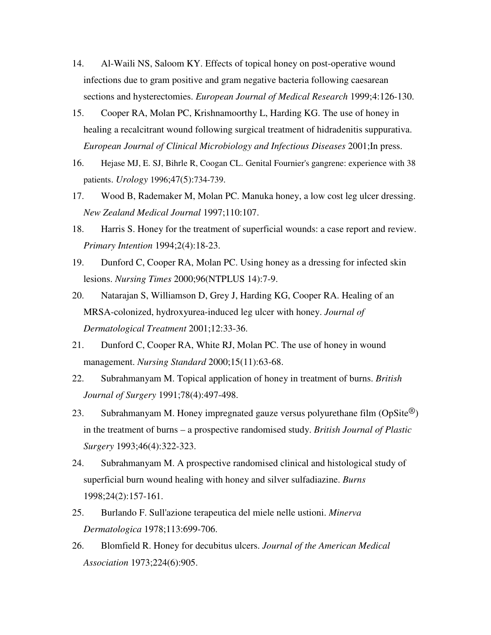- 14. Al-Waili NS, Saloom KY. Effects of topical honey on post-operative wound infections due to gram positive and gram negative bacteria following caesarean sections and hysterectomies. *European Journal of Medical Research* 1999;4:126-130.
- 15. Cooper RA, Molan PC, Krishnamoorthy L, Harding KG. The use of honey in healing a recalcitrant wound following surgical treatment of hidradenitis suppurativa. *European Journal of Clinical Microbiology and Infectious Diseases* 2001;In press.
- 16. Hejase MJ, E. SJ, Bihrle R, Coogan CL. Genital Fournier's gangrene: experience with 38 patients. *Urology* 1996;47(5):734-739.
- 17. Wood B, Rademaker M, Molan PC. Manuka honey, a low cost leg ulcer dressing. *New Zealand Medical Journal* 1997;110:107.
- 18. Harris S. Honey for the treatment of superficial wounds: a case report and review. *Primary Intention* 1994;2(4):18-23.
- 19. Dunford C, Cooper RA, Molan PC. Using honey as a dressing for infected skin lesions. *Nursing Times* 2000;96(NTPLUS 14):7-9.
- 20. Natarajan S, Williamson D, Grey J, Harding KG, Cooper RA. Healing of an MRSA-colonized, hydroxyurea-induced leg ulcer with honey. *Journal of Dermatological Treatment* 2001;12:33-36.
- 21. Dunford C, Cooper RA, White RJ, Molan PC. The use of honey in wound management. *Nursing Standard* 2000;15(11):63-68.
- 22. Subrahmanyam M. Topical application of honey in treatment of burns. *British Journal of Surgery* 1991;78(4):497-498.
- 23. Subrahmanyam M. Honey impregnated gauze versus polyurethane film  $(\text{OpSite}^{@})$ in the treatment of burns – a prospective randomised study. *British Journal of Plastic Surgery* 1993;46(4):322-323.
- 24. Subrahmanyam M. A prospective randomised clinical and histological study of superficial burn wound healing with honey and silver sulfadiazine. *Burns* 1998;24(2):157-161.
- 25. Burlando F. Sull'azione terapeutica del miele nelle ustioni. *Minerva Dermatologica* 1978;113:699-706.
- 26. Blomfield R. Honey for decubitus ulcers. *Journal of the American Medical Association* 1973;224(6):905.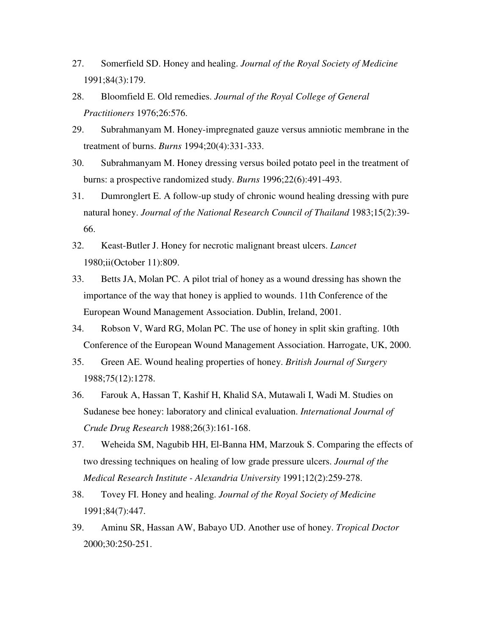- 27. Somerfield SD. Honey and healing. *Journal of the Royal Society of Medicine* 1991;84(3):179.
- 28. Bloomfield E. Old remedies. *Journal of the Royal College of General Practitioners* 1976;26:576.
- 29. Subrahmanyam M. Honey-impregnated gauze versus amniotic membrane in the treatment of burns. *Burns* 1994;20(4):331-333.
- 30. Subrahmanyam M. Honey dressing versus boiled potato peel in the treatment of burns: a prospective randomized study. *Burns* 1996;22(6):491-493.
- 31. Dumronglert E. A follow-up study of chronic wound healing dressing with pure natural honey. *Journal of the National Research Council of Thailand* 1983;15(2):39- 66.
- 32. Keast-Butler J. Honey for necrotic malignant breast ulcers. *Lancet* 1980;ii(October 11):809.
- 33. Betts JA, Molan PC. A pilot trial of honey as a wound dressing has shown the importance of the way that honey is applied to wounds. 11th Conference of the European Wound Management Association. Dublin, Ireland, 2001.
- 34. Robson V, Ward RG, Molan PC. The use of honey in split skin grafting. 10th Conference of the European Wound Management Association. Harrogate, UK, 2000.
- 35. Green AE. Wound healing properties of honey. *British Journal of Surgery* 1988;75(12):1278.
- 36. Farouk A, Hassan T, Kashif H, Khalid SA, Mutawali I, Wadi M. Studies on Sudanese bee honey: laboratory and clinical evaluation. *International Journal of Crude Drug Research* 1988;26(3):161-168.
- 37. Weheida SM, Nagubib HH, El-Banna HM, Marzouk S. Comparing the effects of two dressing techniques on healing of low grade pressure ulcers. *Journal of the Medical Research Institute - Alexandria University* 1991;12(2):259-278.
- 38. Tovey FI. Honey and healing. *Journal of the Royal Society of Medicine* 1991;84(7):447.
- 39. Aminu SR, Hassan AW, Babayo UD. Another use of honey. *Tropical Doctor* 2000;30:250-251.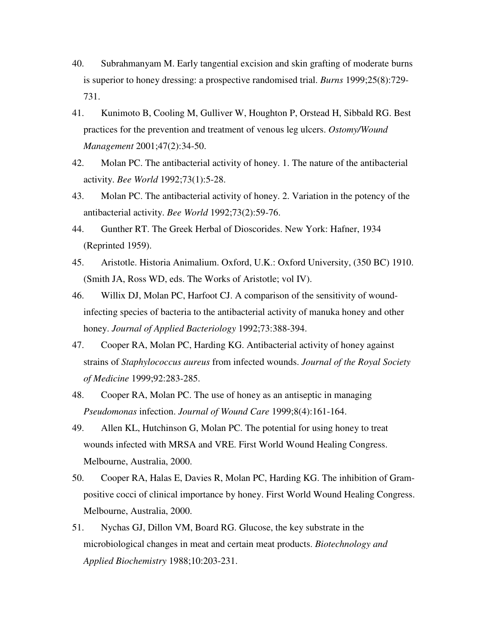- 40. Subrahmanyam M. Early tangential excision and skin grafting of moderate burns is superior to honey dressing: a prospective randomised trial. *Burns* 1999;25(8):729- 731.
- 41. Kunimoto B, Cooling M, Gulliver W, Houghton P, Orstead H, Sibbald RG. Best practices for the prevention and treatment of venous leg ulcers. *Ostomy/Wound Management* 2001;47(2):34-50.
- 42. Molan PC. The antibacterial activity of honey. 1. The nature of the antibacterial activity. *Bee World* 1992;73(1):5-28.
- 43. Molan PC. The antibacterial activity of honey. 2. Variation in the potency of the antibacterial activity. *Bee World* 1992;73(2):59-76.
- 44. Gunther RT. The Greek Herbal of Dioscorides. New York: Hafner, 1934 (Reprinted 1959).
- 45. Aristotle. Historia Animalium. Oxford, U.K.: Oxford University, (350 BC) 1910. (Smith JA, Ross WD, eds. The Works of Aristotle; vol IV).
- 46. Willix DJ, Molan PC, Harfoot CJ. A comparison of the sensitivity of woundinfecting species of bacteria to the antibacterial activity of manuka honey and other honey. *Journal of Applied Bacteriology* 1992;73:388-394.
- 47. Cooper RA, Molan PC, Harding KG. Antibacterial activity of honey against strains of *Staphylococcus aureus* from infected wounds. *Journal of the Royal Society of Medicine* 1999;92:283-285.
- 48. Cooper RA, Molan PC. The use of honey as an antiseptic in managing *Pseudomonas* infection. *Journal of Wound Care* 1999;8(4):161-164.
- 49. Allen KL, Hutchinson G, Molan PC. The potential for using honey to treat wounds infected with MRSA and VRE. First World Wound Healing Congress. Melbourne, Australia, 2000.
- 50. Cooper RA, Halas E, Davies R, Molan PC, Harding KG. The inhibition of Grampositive cocci of clinical importance by honey. First World Wound Healing Congress. Melbourne, Australia, 2000.
- 51. Nychas GJ, Dillon VM, Board RG. Glucose, the key substrate in the microbiological changes in meat and certain meat products. *Biotechnology and Applied Biochemistry* 1988;10:203-231.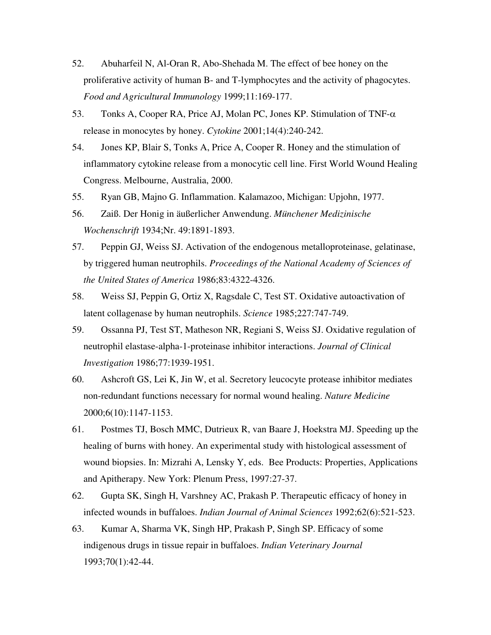- 52. Abuharfeil N, Al-Oran R, Abo-Shehada M. The effect of bee honey on the proliferative activity of human B- and T-lymphocytes and the activity of phagocytes. *Food and Agricultural Immunology* 1999;11:169-177.
- 53. Tonks A, Cooper RA, Price AJ, Molan PC, Jones KP. Stimulation of TNF-α release in monocytes by honey. *Cytokine* 2001;14(4):240-242.
- 54. Jones KP, Blair S, Tonks A, Price A, Cooper R. Honey and the stimulation of inflammatory cytokine release from a monocytic cell line. First World Wound Healing Congress. Melbourne, Australia, 2000.
- 55. Ryan GB, Majno G. Inflammation. Kalamazoo, Michigan: Upjohn, 1977.
- 56. Zaiß. Der Honig in äußerlicher Anwendung. *Münchener Medizinische Wochenschrift* 1934;Nr. 49:1891-1893.
- 57. Peppin GJ, Weiss SJ. Activation of the endogenous metalloproteinase, gelatinase, by triggered human neutrophils. *Proceedings of the National Academy of Sciences of the United States of America* 1986;83:4322-4326.
- 58. Weiss SJ, Peppin G, Ortiz X, Ragsdale C, Test ST. Oxidative autoactivation of latent collagenase by human neutrophils. *Science* 1985;227:747-749.
- 59. Ossanna PJ, Test ST, Matheson NR, Regiani S, Weiss SJ. Oxidative regulation of neutrophil elastase-alpha-1-proteinase inhibitor interactions. *Journal of Clinical Investigation* 1986;77:1939-1951.
- 60. Ashcroft GS, Lei K, Jin W, et al. Secretory leucocyte protease inhibitor mediates non-redundant functions necessary for normal wound healing. *Nature Medicine* 2000;6(10):1147-1153.
- 61. Postmes TJ, Bosch MMC, Dutrieux R, van Baare J, Hoekstra MJ. Speeding up the healing of burns with honey. An experimental study with histological assessment of wound biopsies. In: Mizrahi A, Lensky Y, eds. Bee Products: Properties, Applications and Apitherapy. New York: Plenum Press, 1997:27-37.
- 62. Gupta SK, Singh H, Varshney AC, Prakash P. Therapeutic efficacy of honey in infected wounds in buffaloes. *Indian Journal of Animal Sciences* 1992;62(6):521-523.
- 63. Kumar A, Sharma VK, Singh HP, Prakash P, Singh SP. Efficacy of some indigenous drugs in tissue repair in buffaloes. *Indian Veterinary Journal* 1993;70(1):42-44.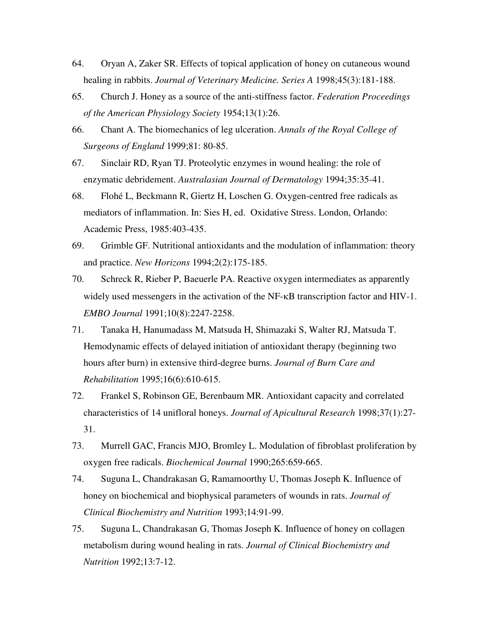- 64. Oryan A, Zaker SR. Effects of topical application of honey on cutaneous wound healing in rabbits. *Journal of Veterinary Medicine. Series A* 1998;45(3):181-188.
- 65. Church J. Honey as a source of the anti-stiffness factor. *Federation Proceedings of the American Physiology Society* 1954;13(1):26.
- 66. Chant A. The biomechanics of leg ulceration. *Annals of the Royal College of Surgeons of England* 1999;81: 80-85.
- 67. Sinclair RD, Ryan TJ. Proteolytic enzymes in wound healing: the role of enzymatic debridement. *Australasian Journal of Dermatology* 1994;35:35-41.
- 68. Flohé L, Beckmann R, Giertz H, Loschen G. Oxygen-centred free radicals as mediators of inflammation. In: Sies H, ed. Oxidative Stress. London, Orlando: Academic Press, 1985:403-435.
- 69. Grimble GF. Nutritional antioxidants and the modulation of inflammation: theory and practice. *New Horizons* 1994;2(2):175-185.
- 70. Schreck R, Rieber P, Baeuerle PA. Reactive oxygen intermediates as apparently widely used messengers in the activation of the NF-κB transcription factor and HIV-1. *EMBO Journal* 1991;10(8):2247-2258.
- 71. Tanaka H, Hanumadass M, Matsuda H, Shimazaki S, Walter RJ, Matsuda T. Hemodynamic effects of delayed initiation of antioxidant therapy (beginning two hours after burn) in extensive third-degree burns. *Journal of Burn Care and Rehabilitation* 1995;16(6):610-615.
- 72. Frankel S, Robinson GE, Berenbaum MR. Antioxidant capacity and correlated characteristics of 14 unifloral honeys. *Journal of Apicultural Research* 1998;37(1):27- 31.
- 73. Murrell GAC, Francis MJO, Bromley L. Modulation of fibroblast proliferation by oxygen free radicals. *Biochemical Journal* 1990;265:659-665.
- 74. Suguna L, Chandrakasan G, Ramamoorthy U, Thomas Joseph K. Influence of honey on biochemical and biophysical parameters of wounds in rats. *Journal of Clinical Biochemistry and Nutrition* 1993;14:91-99.
- 75. Suguna L, Chandrakasan G, Thomas Joseph K. Influence of honey on collagen metabolism during wound healing in rats. *Journal of Clinical Biochemistry and Nutrition* 1992;13:7-12.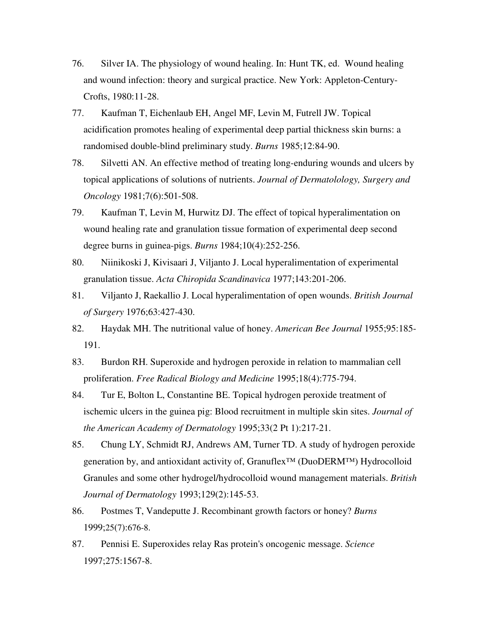- 76. Silver IA. The physiology of wound healing. In: Hunt TK, ed. Wound healing and wound infection: theory and surgical practice. New York: Appleton-Century-Crofts, 1980:11-28.
- 77. Kaufman T, Eichenlaub EH, Angel MF, Levin M, Futrell JW. Topical acidification promotes healing of experimental deep partial thickness skin burns: a randomised double-blind preliminary study. *Burns* 1985;12:84-90.
- 78. Silvetti AN. An effective method of treating long-enduring wounds and ulcers by topical applications of solutions of nutrients. *Journal of Dermatolology, Surgery and Oncology* 1981;7(6):501-508.
- 79. Kaufman T, Levin M, Hurwitz DJ. The effect of topical hyperalimentation on wound healing rate and granulation tissue formation of experimental deep second degree burns in guinea-pigs. *Burns* 1984;10(4):252-256.
- 80. Niinikoski J, Kivisaari J, Viljanto J. Local hyperalimentation of experimental granulation tissue. *Acta Chiropida Scandinavica* 1977;143:201-206.
- 81. Viljanto J, Raekallio J. Local hyperalimentation of open wounds. *British Journal of Surgery* 1976;63:427-430.
- 82. Haydak MH. The nutritional value of honey. *American Bee Journal* 1955;95:185- 191.
- 83. Burdon RH. Superoxide and hydrogen peroxide in relation to mammalian cell proliferation. *Free Radical Biology and Medicine* 1995;18(4):775-794.
- 84. Tur E, Bolton L, Constantine BE. Topical hydrogen peroxide treatment of ischemic ulcers in the guinea pig: Blood recruitment in multiple skin sites. *Journal of the American Academy of Dermatology* 1995;33(2 Pt 1):217-21.
- 85. Chung LY, Schmidt RJ, Andrews AM, Turner TD. A study of hydrogen peroxide generation by, and antioxidant activity of, Granuflex™ (DuoDERM™) Hydrocolloid Granules and some other hydrogel/hydrocolloid wound management materials. *British Journal of Dermatology* 1993;129(2):145-53.
- 86. Postmes T, Vandeputte J. Recombinant growth factors or honey? *Burns* 1999;25(7):676-8.
- 87. Pennisi E. Superoxides relay Ras protein's oncogenic message. *Science* 1997;275:1567-8.